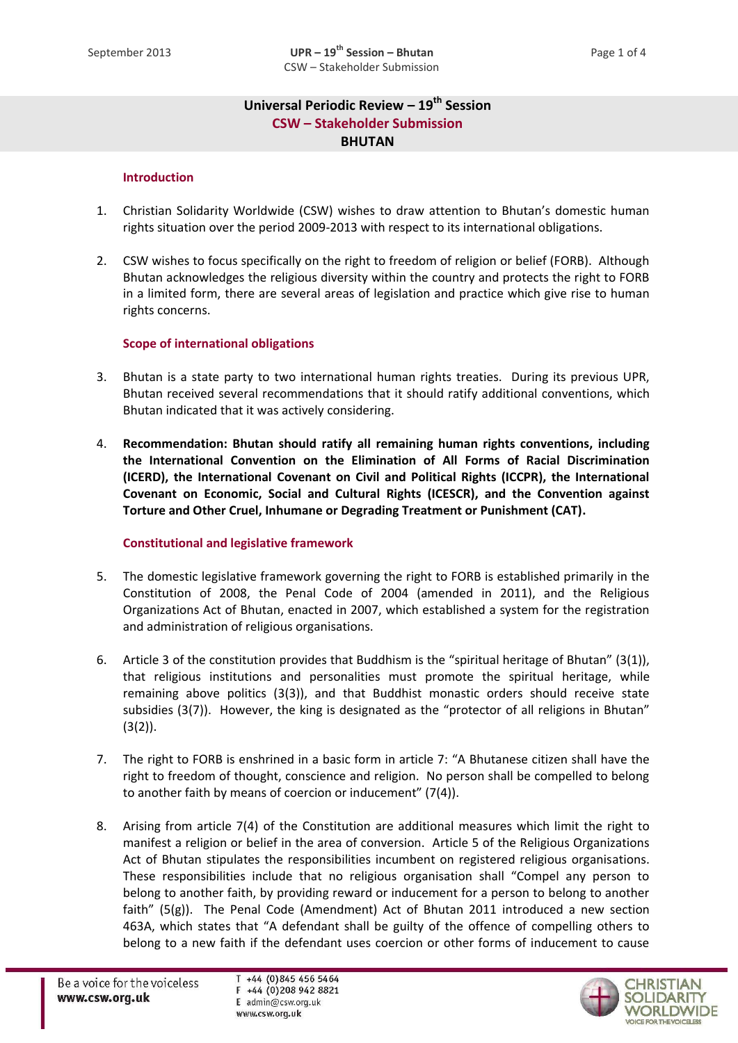# **Universal Periodic Review – 19th Session CSW – Stakeholder Submission BHUTAN**

### **Introduction**

- 1. Christian Solidarity Worldwide (CSW) wishes to draw attention to Bhutan's domestic human rights situation over the period 2009-2013 with respect to its international obligations.
- 2. CSW wishes to focus specifically on the right to freedom of religion or belief (FORB). Although Bhutan acknowledges the religious diversity within the country and protects the right to FORB in a limited form, there are several areas of legislation and practice which give rise to human rights concerns.

### **Scope of international obligations**

- 3. Bhutan is a state party to two international human rights treaties. During its previous UPR, Bhutan received several recommendations that it should ratify additional conventions, which Bhutan indicated that it was actively considering.
- 4. **Recommendation: Bhutan should ratify all remaining human rights conventions, including the International Convention on the Elimination of All Forms of Racial Discrimination (ICERD), the International Covenant on Civil and Political Rights (ICCPR), the International Covenant on Economic, Social and Cultural Rights (ICESCR), and the Convention against Torture and Other Cruel, Inhumane or Degrading Treatment or Punishment (CAT).**

## **Constitutional and legislative framework**

- 5. The domestic legislative framework governing the right to FORB is established primarily in the Constitution of 2008, the Penal Code of 2004 (amended in 2011), and the Religious Organizations Act of Bhutan, enacted in 2007, which established a system for the registration and administration of religious organisations.
- 6. Article 3 of the constitution provides that Buddhism is the "spiritual heritage of Bhutan" (3(1)), that religious institutions and personalities must promote the spiritual heritage, while remaining above politics (3(3)), and that Buddhist monastic orders should receive state subsidies (3(7)). However, the king is designated as the "protector of all religions in Bhutan"  $(3(2))$ .
- 7. The right to FORB is enshrined in a basic form in article 7: "A Bhutanese citizen shall have the right to freedom of thought, conscience and religion. No person shall be compelled to belong to another faith by means of coercion or inducement" (7(4)).
- 8. Arising from article 7(4) of the Constitution are additional measures which limit the right to manifest a religion or belief in the area of conversion. Article 5 of the Religious Organizations Act of Bhutan stipulates the responsibilities incumbent on registered religious organisations. These responsibilities include that no religious organisation shall "Compel any person to belong to another faith, by providing reward or inducement for a person to belong to another faith"  $(5(g))$ . The Penal Code (Amendment) Act of Bhutan 2011 introduced a new section 463A, which states that "A defendant shall be guilty of the offence of compelling others to belong to a new faith if the defendant uses coercion or other forms of inducement to cause

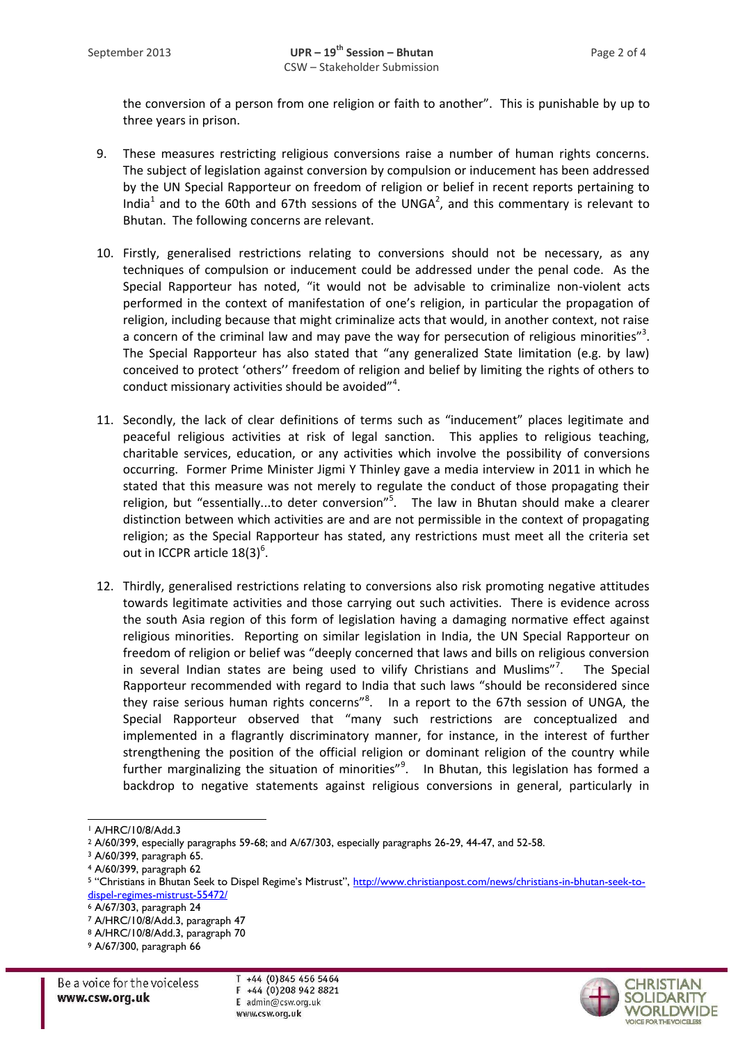the conversion of a person from one religion or faith to another". This is punishable by up to three years in prison.

- 9. These measures restricting religious conversions raise a number of human rights concerns. The subject of legislation against conversion by compulsion or inducement has been addressed by the UN Special Rapporteur on freedom of religion or belief in recent reports pertaining to India<sup>1</sup> and to the 60th and 67th sessions of the UNGA<sup>2</sup>, and this commentary is relevant to Bhutan. The following concerns are relevant.
- 10. Firstly, generalised restrictions relating to conversions should not be necessary, as any techniques of compulsion or inducement could be addressed under the penal code. As the Special Rapporteur has noted, "it would not be advisable to criminalize non-violent acts performed in the context of manifestation of one's religion, in particular the propagation of religion, including because that might criminalize acts that would, in another context, not raise a concern of the criminal law and may pave the way for persecution of religious minorities"<sup>3</sup>. The Special Rapporteur has also stated that "any generalized State limitation (e.g. by law) conceived to protect 'others'' freedom of religion and belief by limiting the rights of others to conduct missionary activities should be avoided"<sup>4</sup>.
- 11. Secondly, the lack of clear definitions of terms such as "inducement" places legitimate and peaceful religious activities at risk of legal sanction. This applies to religious teaching, charitable services, education, or any activities which involve the possibility of conversions occurring. Former Prime Minister Jigmi Y Thinley gave a media interview in 2011 in which he stated that this measure was not merely to regulate the conduct of those propagating their religion, but "essentially...to deter conversion"<sup>5</sup>. The law in Bhutan should make a clearer distinction between which activities are and are not permissible in the context of propagating religion; as the Special Rapporteur has stated, any restrictions must meet all the criteria set out in ICCPR article  $18(3)^6$ .
- 12. Thirdly, generalised restrictions relating to conversions also risk promoting negative attitudes towards legitimate activities and those carrying out such activities. There is evidence across the south Asia region of this form of legislation having a damaging normative effect against religious minorities. Reporting on similar legislation in India, the UN Special Rapporteur on freedom of religion or belief was "deeply concerned that laws and bills on religious conversion in several Indian states are being used to vilify Christians and Muslims"<sup>7</sup>. . The Special Rapporteur recommended with regard to India that such laws "should be reconsidered since they raise serious human rights concerns"<sup>8</sup>. In a report to the 67th session of UNGA, the Special Rapporteur observed that "many such restrictions are conceptualized and implemented in a flagrantly discriminatory manner, for instance, in the interest of further strengthening the position of the official religion or dominant religion of the country while further marginalizing the situation of minorities"<sup>9</sup>. In Bhutan, this legislation has formed a backdrop to negative statements against religious conversions in general, particularly in

<sup>7</sup> A/HRC/10/8/Add.3, paragraph 47

 $T + 44$  (0)845 456 5464 F +44 (0)208 942 8821 E admin@csw.org.uk www.csw.org.uk



<sup>1</sup> <sup>1</sup> A/HRC/10/8/Add.3

<sup>2</sup> A/60/399, especially paragraphs 59-68; and A/67/303, especially paragraphs 26-29, 44-47, and 52-58.

<sup>3</sup> A/60/399, paragraph 65.

<sup>4</sup> A/60/399, paragraph 62

<sup>5 &</sup>quot;Christians in Bhutan Seek to Dispel Regime's Mistrust", [http://www.christianpost.com/news/christians-in-bhutan-seek-to](http://www.christianpost.com/news/christians-in-bhutan-seek-to-dispel-regimes-mistrust-55472/)[dispel-regimes-mistrust-55472/](http://www.christianpost.com/news/christians-in-bhutan-seek-to-dispel-regimes-mistrust-55472/)

<sup>6</sup> A/67/303, paragraph 24

<sup>8</sup> A/HRC/10/8/Add.3, paragraph 70

<sup>9</sup> A/67/300, paragraph 66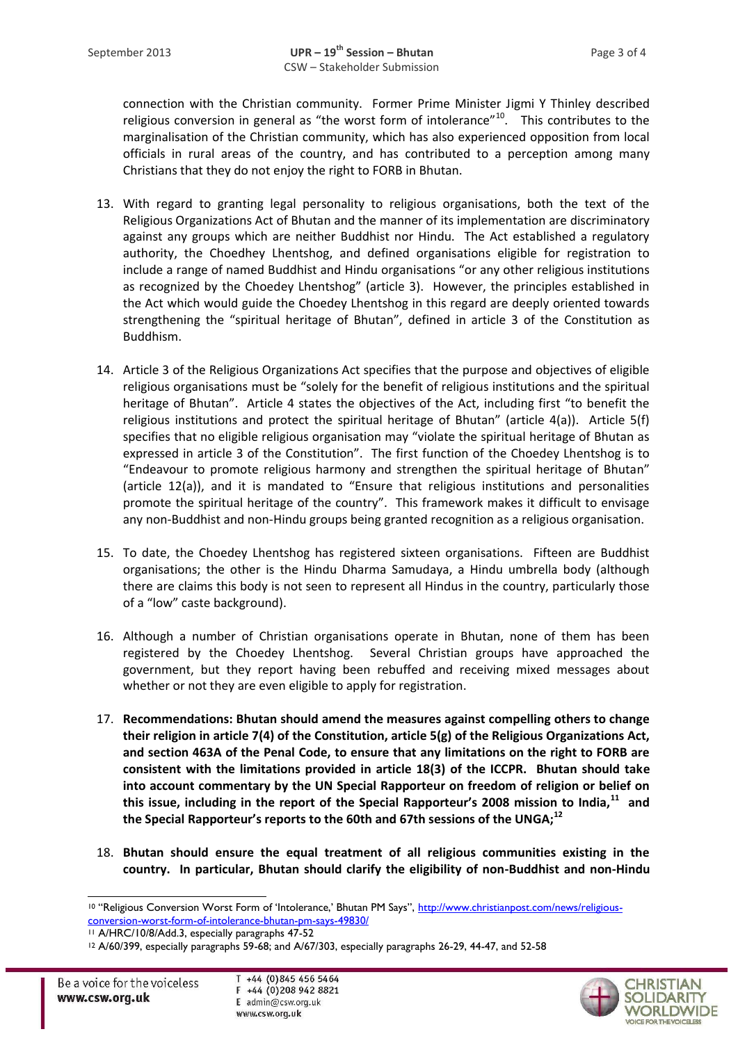connection with the Christian community. Former Prime Minister Jigmi Y Thinley described religious conversion in general as "the worst form of intolerance"<sup>10</sup>. This contributes to the marginalisation of the Christian community, which has also experienced opposition from local officials in rural areas of the country, and has contributed to a perception among many Christians that they do not enjoy the right to FORB in Bhutan.

- 13. With regard to granting legal personality to religious organisations, both the text of the Religious Organizations Act of Bhutan and the manner of its implementation are discriminatory against any groups which are neither Buddhist nor Hindu. The Act established a regulatory authority, the Choedhey Lhentshog, and defined organisations eligible for registration to include a range of named Buddhist and Hindu organisations "or any other religious institutions as recognized by the Choedey Lhentshog" (article 3). However, the principles established in the Act which would guide the Choedey Lhentshog in this regard are deeply oriented towards strengthening the "spiritual heritage of Bhutan", defined in article 3 of the Constitution as Buddhism.
- 14. Article 3 of the Religious Organizations Act specifies that the purpose and objectives of eligible religious organisations must be "solely for the benefit of religious institutions and the spiritual heritage of Bhutan". Article 4 states the objectives of the Act, including first "to benefit the religious institutions and protect the spiritual heritage of Bhutan" (article 4(a)). Article 5(f) specifies that no eligible religious organisation may "violate the spiritual heritage of Bhutan as expressed in article 3 of the Constitution". The first function of the Choedey Lhentshog is to "Endeavour to promote religious harmony and strengthen the spiritual heritage of Bhutan" (article 12(a)), and it is mandated to "Ensure that religious institutions and personalities promote the spiritual heritage of the country". This framework makes it difficult to envisage any non-Buddhist and non-Hindu groups being granted recognition as a religious organisation.
- 15. To date, the Choedey Lhentshog has registered sixteen organisations. Fifteen are Buddhist organisations; the other is the Hindu Dharma Samudaya, a Hindu umbrella body (although there are claims this body is not seen to represent all Hindus in the country, particularly those of a "low" caste background).
- 16. Although a number of Christian organisations operate in Bhutan, none of them has been registered by the Choedey Lhentshog. Several Christian groups have approached the government, but they report having been rebuffed and receiving mixed messages about whether or not they are even eligible to apply for registration.
- 17. **Recommendations: Bhutan should amend the measures against compelling others to change their religion in article 7(4) of the Constitution, article 5(g) of the Religious Organizations Act, and section 463A of the Penal Code, to ensure that any limitations on the right to FORB are consistent with the limitations provided in article 18(3) of the ICCPR. Bhutan should take into account commentary by the UN Special Rapporteur on freedom of religion or belief on this issue, including in the report of the Special Rapporteur's 2008 mission to India,<sup>11</sup> and the Special Rapporteur's reports to the 60th and 67th sessions of the UNGA;<sup>12</sup>**
- 18. **Bhutan should ensure the equal treatment of all religious communities existing in the country. In particular, Bhutan should clarify the eligibility of non-Buddhist and non-Hindu**



<sup>10</sup> "Religious Conversion Worst Form of 'Intolerance,' Bhutan PM Says", [http://www.christianpost.com/news/religious](http://www.christianpost.com/news/religious-conversion-worst-form-of-intolerance-bhutan-pm-says-49830/)[conversion-worst-form-of-intolerance-bhutan-pm-says-49830/](http://www.christianpost.com/news/religious-conversion-worst-form-of-intolerance-bhutan-pm-says-49830/)

<sup>11</sup> A/HRC/10/8/Add.3, especially paragraphs 47-52

<sup>12</sup> A/60/399, especially paragraphs 59-68; and A/67/303, especially paragraphs 26-29, 44-47, and 52-58